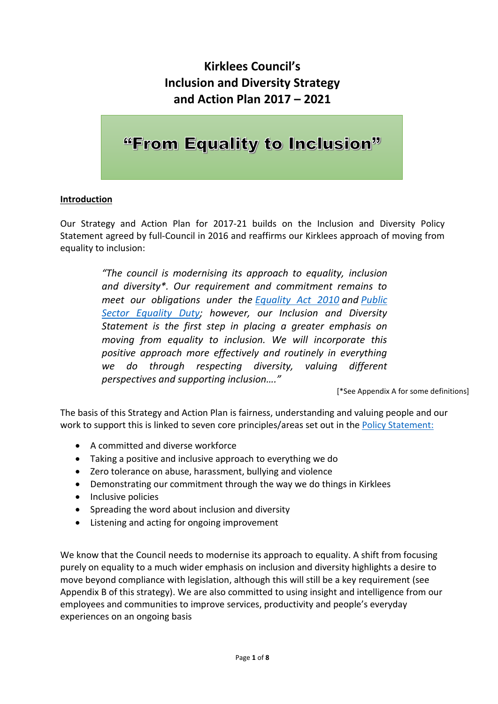### **Kirklees Council's Inclusion and Diversity Strategy and Action Plan 2017 – 2021**

## "From Equality to Inclusion"

#### **Introduction**

Our Strategy and Action Plan for 2017-21 builds on the Inclusion and Diversity Policy Statement agreed by full-Council in 2016 and reaffirms our Kirklees approach of moving from equality to inclusion:

> *"The council is modernising its approach to equality, inclusion and diversity\*. Our requirement and commitment remains to meet our obligations under the [Equality Act 2010](http://www.equalityhumanrights.com/en/equality-act/equality-act-2010) and [Public](http://www.equalityhumanrights.com/en/advice-and-guidance/public-sector-equality-duty#h2)  [Sector Equality Duty;](http://www.equalityhumanrights.com/en/advice-and-guidance/public-sector-equality-duty#h2) however, our Inclusion and Diversity Statement is the first step in placing a greater emphasis on moving from equality to inclusion. We will incorporate this positive approach more effectively and routinely in everything we do through respecting diversity, valuing different perspectives and supporting inclusion…."*

> > [\*See Appendix A for some definitions]

The basis of this Strategy and Action Plan is fairness, understanding and valuing people and our work to support this is linked to seven core principles/areas set out in the [Policy Statement:](http://www.kirklees.gov.uk/beta/delivering-services/pdf/inclusion-diversity-statement-graphic.pdf)

- A committed and diverse workforce
- Taking a positive and inclusive approach to everything we do
- Zero tolerance on abuse, harassment, bullying and violence
- Demonstrating our commitment through the way we do things in Kirklees
- Inclusive policies
- Spreading the word about inclusion and diversity
- Listening and acting for ongoing improvement

We know that the Council needs to modernise its approach to equality. A shift from focusing purely on equality to a much wider emphasis on inclusion and diversity highlights a desire to move beyond compliance with legislation, although this will still be a key requirement (see Appendix B of this strategy). We are also committed to using insight and intelligence from our employees and communities to improve services, productivity and people's everyday experiences on an ongoing basis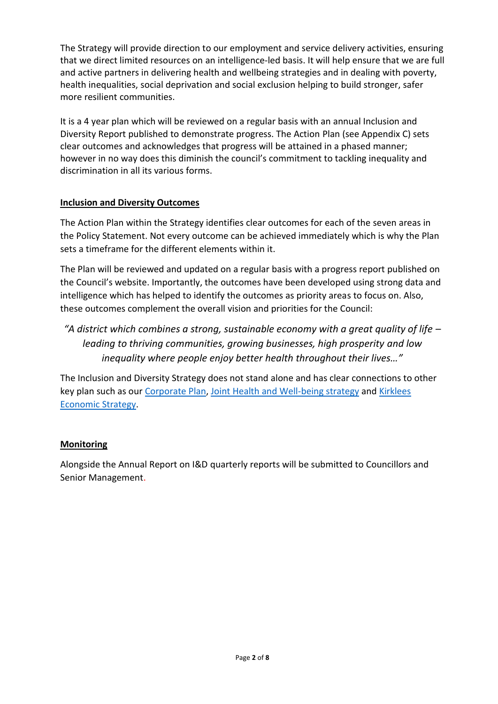The Strategy will provide direction to our employment and service delivery activities, ensuring that we direct limited resources on an intelligence-led basis. It will help ensure that we are full and active partners in delivering health and wellbeing strategies and in dealing with poverty, health inequalities, social deprivation and social exclusion helping to build stronger, safer more resilient communities.

It is a 4 year plan which will be reviewed on a regular basis with an annual Inclusion and Diversity Report published to demonstrate progress. The Action Plan (see Appendix C) sets clear outcomes and acknowledges that progress will be attained in a phased manner; however in no way does this diminish the council's commitment to tackling inequality and discrimination in all its various forms.

#### **Inclusion and Diversity Outcomes**

The Action Plan within the Strategy identifies clear outcomes for each of the seven areas in the Policy Statement. Not every outcome can be achieved immediately which is why the Plan sets a timeframe for the different elements within it.

The Plan will be reviewed and updated on a regular basis with a progress report published on the Council's website. Importantly, the outcomes have been developed using strong data and intelligence which has helped to identify the outcomes as priority areas to focus on. Also, these outcomes complement the overall vision and priorities for the Council:

*"A district which combines a strong, sustainable economy with a great quality of life – leading to thriving communities, growing businesses, high prosperity and low inequality where people enjoy better health throughout their lives…"*

The Inclusion and Diversity Strategy does not stand alone and has clear connections to other key plan such as our [Corporate Plan,](http://www.kirklees.gov.uk/beta/delivering-services/corporate-plan-201718.aspx) [Joint Health and Well-being strategy](https://www.kirklees.gov.uk/beta/delivering-services/pdf/health-strategy.pdf) and [Kirklees](http://www.kirklees.gov.uk/involve/publisheddoc.aspx?ref=0tpbko6i&e=661)  [Economic Strategy.](http://www.kirklees.gov.uk/involve/publisheddoc.aspx?ref=0tpbko6i&e=661)

#### **Monitoring**

Alongside the Annual Report on I&D quarterly reports will be submitted to Councillors and Senior Management.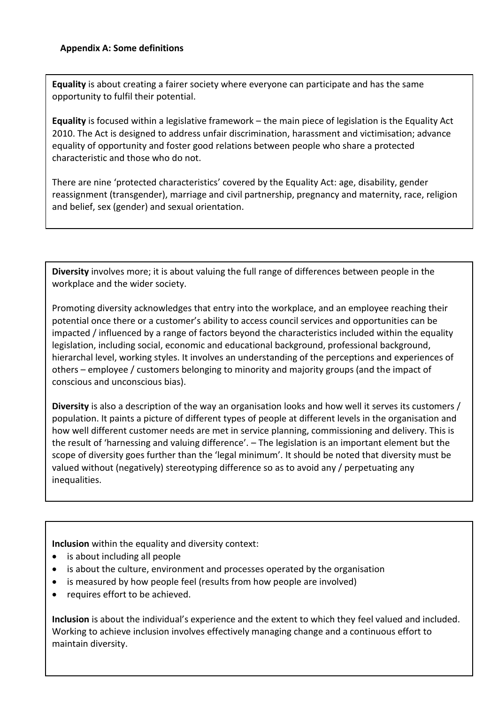**Equality** is about creating a fairer society where everyone can participate and has the same opportunity to fulfil their potential.

**Equality** is focused within a legislative framework – the main piece of legislation is the Equality Act 2010. The Act is designed to address unfair discrimination, harassment and victimisation; advance equality of opportunity and foster good relations between people who share a protected characteristic and those who do not.

There are nine 'protected characteristics' covered by the Equality Act: age, disability, gender reassignment (transgender), marriage and civil partnership, pregnancy and maternity, race, religion and belief, sex (gender) and sexual orientation.

**Diversity** involves more; it is about valuing the full range of differences between people in the workplace and the wider society.

Promoting diversity acknowledges that entry into the workplace, and an employee reaching their potential once there or a customer's ability to access council services and opportunities can be impacted / influenced by a range of factors beyond the characteristics included within the equality legislation, including social, economic and educational background, professional background, hierarchal level, working styles. It involves an understanding of the perceptions and experiences of others – employee / customers belonging to minority and majority groups (and the impact of conscious and unconscious bias).

**Diversity** is also a description of the way an organisation looks and how well it serves its customers / population. It paints a picture of different types of people at different levels in the organisation and how well different customer needs are met in service planning, commissioning and delivery. This is the result of 'harnessing and valuing difference'. – The legislation is an important element but the scope of diversity goes further than the 'legal minimum'. It should be noted that diversity must be valued without (negatively) stereotyping difference so as to avoid any / perpetuating any inequalities.

**Inclusion** within the equality and diversity context:

- is about including all people
- is about the culture, environment and processes operated by the organisation
- is measured by how people feel (results from how people are involved)
- requires effort to be achieved.

**Inclusion** is about the individual's experience and the extent to which they feel valued and included. Working to achieve inclusion involves effectively managing change and a continuous effort to maintain diversity.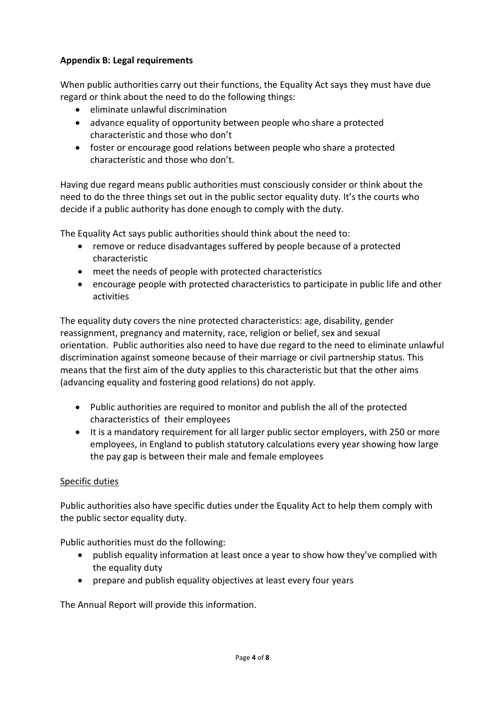#### **Appendix B: Legal requirements**

When public authorities carry out their functions, the Equality Act says they must have due regard or think about the need to do the following things:

- eliminate unlawful discrimination
- advance equality of opportunity between people who share a protected characteristic and those who don't
- foster or encourage good relations between people who share a protected characteristic and those who don't.

Having due regard means public authorities must consciously consider or think about the need to do the three things set out in the public sector equality duty. It's the courts who decide if a public authority has done enough to comply with the duty.

The Equality Act says public authorities should think about the need to:

- remove or reduce disadvantages suffered by people because of a protected characteristic
- meet the needs of people with protected characteristics
- encourage people with protected characteristics to participate in public life and other activities

The equality duty covers the nine protected characteristics: age, disability, gender reassignment, pregnancy and maternity, race, religion or belief, sex and sexual orientation. Public authorities also need to have due regard to the need to eliminate unlawful discrimination against someone because of their marriage or civil partnership status. This means that the first aim of the duty applies to this characteristic but that the other aims (advancing equality and fostering good relations) do not apply.

- Public authorities are required to monitor and publish the all of the protected characteristics of their employees
- It is a mandatory requirement for all larger public sector employers, with 250 or more employees, in England to publish statutory calculations every year showing how large the pay gap is between their male and female employees

#### Specific duties

Public authorities also have specific duties under the Equality Act to help them comply with the public sector equality duty.

Public authorities must do the following:

- publish equality information at least once a year to show how they've complied with the equality duty
- prepare and publish equality objectives at least every four years

The Annual Report will provide this information.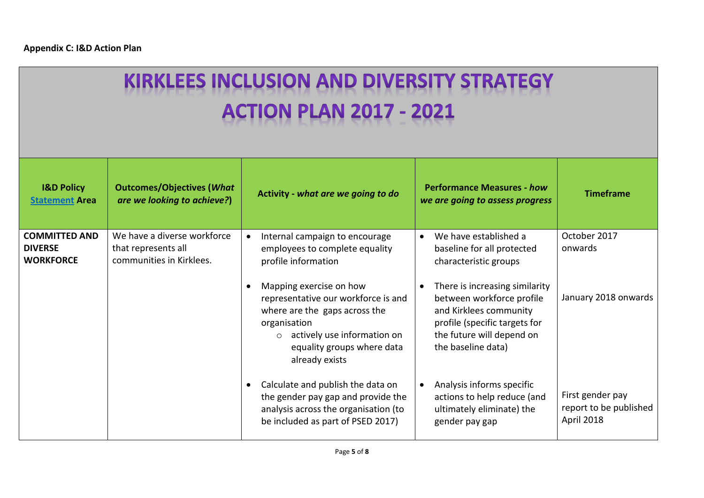# **KIRKLEES INCLUSION AND DIVERSITY STRATEGY ACTION PLAN 2017 - 2021**

| <b>I&amp;D Policy</b><br><b>Statement Area</b>             | <b>Outcomes/Objectives (What</b><br>are we looking to achieve?)                | Activity - what are we going to do                                                                                                                                                                         | <b>Performance Measures - how</b><br>we are going to assess progress                                                                                                      | <b>Timeframe</b>                                         |
|------------------------------------------------------------|--------------------------------------------------------------------------------|------------------------------------------------------------------------------------------------------------------------------------------------------------------------------------------------------------|---------------------------------------------------------------------------------------------------------------------------------------------------------------------------|----------------------------------------------------------|
| <b>COMMITTED AND</b><br><b>DIVERSE</b><br><b>WORKFORCE</b> | We have a diverse workforce<br>that represents all<br>communities in Kirklees. | Internal campaign to encourage<br>employees to complete equality<br>profile information                                                                                                                    | We have established a<br>baseline for all protected<br>characteristic groups                                                                                              | October 2017<br>onwards                                  |
|                                                            |                                                                                | Mapping exercise on how<br>representative our workforce is and<br>where are the gaps across the<br>organisation<br>actively use information on<br>$\Omega$<br>equality groups where data<br>already exists | There is increasing similarity<br>between workforce profile<br>and Kirklees community<br>profile (specific targets for<br>the future will depend on<br>the baseline data) | January 2018 onwards                                     |
|                                                            |                                                                                | Calculate and publish the data on<br>the gender pay gap and provide the<br>analysis across the organisation (to<br>be included as part of PSED 2017)                                                       | Analysis informs specific<br>actions to help reduce (and<br>ultimately eliminate) the<br>gender pay gap                                                                   | First gender pay<br>report to be published<br>April 2018 |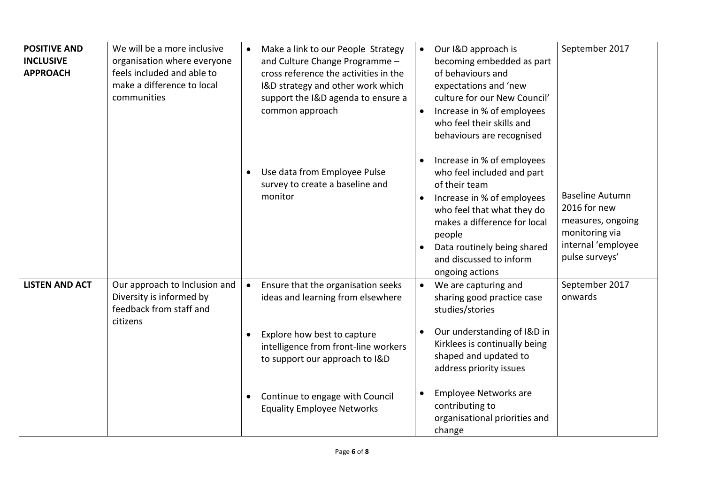| <b>POSITIVE AND</b><br><b>INCLUSIVE</b><br><b>APPROACH</b> | We will be a more inclusive<br>organisation where everyone<br>feels included and able to<br>make a difference to local<br>communities | Make a link to our People Strategy<br>$\bullet$<br>and Culture Change Programme -<br>cross reference the activities in the<br>I&D strategy and other work which<br>support the I&D agenda to ensure a<br>common approach | Our I&D approach is<br>$\bullet$<br>becoming embedded as part<br>of behaviours and<br>expectations and 'new<br>culture for our New Council'<br>Increase in % of employees<br>who feel their skills and<br>behaviours are recognised                          | September 2017                                                                                                        |
|------------------------------------------------------------|---------------------------------------------------------------------------------------------------------------------------------------|--------------------------------------------------------------------------------------------------------------------------------------------------------------------------------------------------------------------------|--------------------------------------------------------------------------------------------------------------------------------------------------------------------------------------------------------------------------------------------------------------|-----------------------------------------------------------------------------------------------------------------------|
|                                                            |                                                                                                                                       | Use data from Employee Pulse<br>survey to create a baseline and<br>monitor                                                                                                                                               | Increase in % of employees<br>who feel included and part<br>of their team<br>Increase in % of employees<br>who feel that what they do<br>makes a difference for local<br>people<br>Data routinely being shared<br>and discussed to inform<br>ongoing actions | <b>Baseline Autumn</b><br>2016 for new<br>measures, ongoing<br>monitoring via<br>internal 'employee<br>pulse surveys' |
| <b>LISTEN AND ACT</b>                                      | Our approach to Inclusion and<br>Diversity is informed by<br>feedback from staff and<br>citizens                                      | Ensure that the organisation seeks<br>$\bullet$<br>ideas and learning from elsewhere<br>Explore how best to capture<br>intelligence from front-line workers<br>to support our approach to I&D                            | We are capturing and<br>$\bullet$<br>sharing good practice case<br>studies/stories<br>Our understanding of I&D in<br>Kirklees is continually being<br>shaped and updated to<br>address priority issues                                                       | September 2017<br>onwards                                                                                             |
|                                                            |                                                                                                                                       | Continue to engage with Council<br><b>Equality Employee Networks</b>                                                                                                                                                     | <b>Employee Networks are</b><br>contributing to<br>organisational priorities and<br>change                                                                                                                                                                   |                                                                                                                       |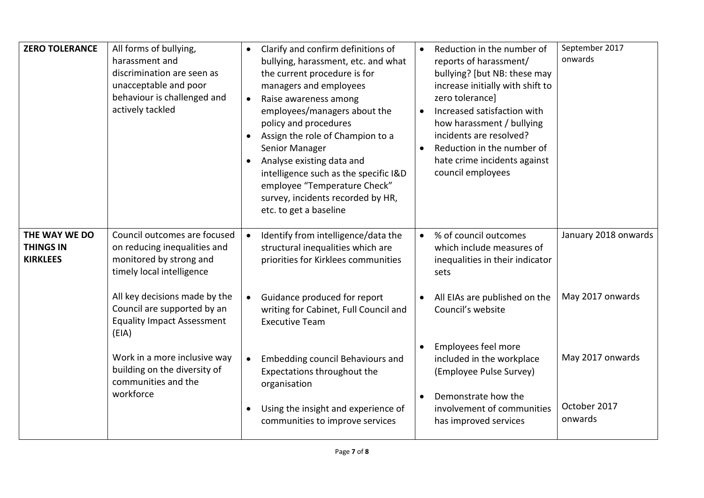| <b>ZERO TOLERANCE</b>                                | All forms of bullying,<br>harassment and<br>discrimination are seen as<br>unacceptable and poor<br>behaviour is challenged and<br>actively tackled | Clarify and confirm definitions of<br>bullying, harassment, etc. and what<br>the current procedure is for<br>managers and employees<br>Raise awareness among<br>$\bullet$<br>employees/managers about the<br>policy and procedures<br>Assign the role of Champion to a<br>Senior Manager<br>Analyse existing data and<br>intelligence such as the specific I&D<br>employee "Temperature Check"<br>survey, incidents recorded by HR,<br>etc. to get a baseline | Reduction in the number of<br>reports of harassment/<br>bullying? [but NB: these may<br>increase initially with shift to<br>zero tolerance]<br>Increased satisfaction with<br>how harassment / bullying<br>incidents are resolved?<br>Reduction in the number of<br>hate crime incidents against<br>council employees | September 2017<br>onwards |
|------------------------------------------------------|----------------------------------------------------------------------------------------------------------------------------------------------------|---------------------------------------------------------------------------------------------------------------------------------------------------------------------------------------------------------------------------------------------------------------------------------------------------------------------------------------------------------------------------------------------------------------------------------------------------------------|-----------------------------------------------------------------------------------------------------------------------------------------------------------------------------------------------------------------------------------------------------------------------------------------------------------------------|---------------------------|
| THE WAY WE DO<br><b>THINGS IN</b><br><b>KIRKLEES</b> | Council outcomes are focused<br>on reducing inequalities and<br>monitored by strong and<br>timely local intelligence                               | Identify from intelligence/data the<br>structural inequalities which are<br>priorities for Kirklees communities                                                                                                                                                                                                                                                                                                                                               | % of council outcomes<br>$\bullet$<br>which include measures of<br>inequalities in their indicator<br>sets                                                                                                                                                                                                            | January 2018 onwards      |
|                                                      | All key decisions made by the<br>Council are supported by an<br><b>Equality Impact Assessment</b><br>(EIA)                                         | Guidance produced for report<br>$\bullet$<br>writing for Cabinet, Full Council and<br><b>Executive Team</b>                                                                                                                                                                                                                                                                                                                                                   | All EIAs are published on the<br>Council's website                                                                                                                                                                                                                                                                    | May 2017 onwards          |
|                                                      | Work in a more inclusive way<br>building on the diversity of<br>communities and the<br>workforce                                                   | Embedding council Behaviours and<br>$\bullet$<br>Expectations throughout the<br>organisation                                                                                                                                                                                                                                                                                                                                                                  | Employees feel more<br>included in the workplace<br>(Employee Pulse Survey)<br>Demonstrate how the                                                                                                                                                                                                                    | May 2017 onwards          |
|                                                      |                                                                                                                                                    | Using the insight and experience of<br>٠<br>communities to improve services                                                                                                                                                                                                                                                                                                                                                                                   | involvement of communities<br>has improved services                                                                                                                                                                                                                                                                   | October 2017<br>onwards   |